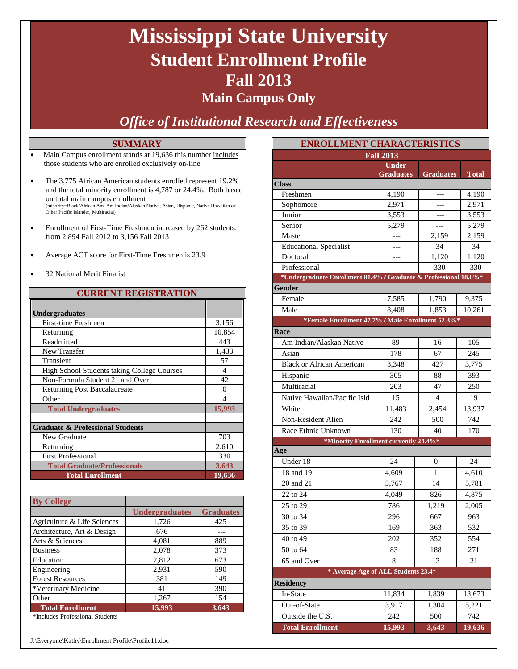# **Mississippi State University Student Enrollment Profile Fall 2013**

### **Main Campus Only**

*Office of Institutional Research and Effectiveness*

### **SUMMARY**

- Main Campus enrollment stands at 19,636 this number includes those students who are enrolled exclusively on-line
- The 3,775 African American students enrolled represent 19.2% and the total minority enrollment is 4,787 or 24.4%. Both based on total main campus enrollment (minority=Black/African Am, Am Indian/Alaskan Native, Asian, Hispanic, Native Hawaiian or Other Pacific Islander, Multiracial)
- Enrollment of First-Time Freshmen increased by 262 students, from 2,894 Fall 2012 to 3,156 Fall 2013
- Average ACT score for First-Time Freshmen is 23.9
- 32 National Merit Finalist

### **CURRENT REGISTRATION**

| <b>Undergraduates</b>                       |                |
|---------------------------------------------|----------------|
| First-time Freshmen                         | 3,156          |
| Returning                                   | 10,854         |
| Readmitted                                  | 443            |
| New Transfer                                | 1,433          |
| Transient                                   | 57             |
| High School Students taking College Courses | 4              |
| Non-Formula Student 21 and Over             | 42             |
| <b>Returning Post Baccalaureate</b>         | 0              |
| Other                                       | $\overline{4}$ |
| <b>Total Undergraduates</b>                 | 15,993         |
|                                             |                |
| <b>Graduate &amp; Professional Students</b> |                |
| New Graduate                                | 703            |
| Returning                                   | 2,610          |
| <b>First Professional</b>                   | 330            |
| <b>Total Graduate/Professionals</b>         | 3,643          |
| <b>Total Enrollment</b>                     | 19,636         |

| <b>By College</b>           |                       |                  |
|-----------------------------|-----------------------|------------------|
|                             | <b>Undergraduates</b> | <b>Graduates</b> |
| Agriculture & Life Sciences | 1,726                 | 425              |
| Architecture, Art & Design  | 676                   |                  |
| Arts & Sciences             | 4,081                 | 889              |
| <b>Business</b>             | 2,078                 | 373              |
| Education                   | 2,812                 | 673              |
| Engineering                 | 2,931                 | 590              |
| <b>Forest Resources</b>     | 381                   | 149              |
| *Veterinary Medicine        | 41                    | 390              |
| Other                       | 1,267                 | 154              |
| <b>Total Enrollment</b>     | 15,993                | 3,643            |

\*Includes Professional Students

| <b>ENROLLMENT CHARACTERISTICS</b>                                |                                  |           |              |  |  |  |
|------------------------------------------------------------------|----------------------------------|-----------|--------------|--|--|--|
| <b>Fall 2013</b>                                                 |                                  |           |              |  |  |  |
|                                                                  | <b>Under</b><br><b>Graduates</b> | Graduates | <b>Total</b> |  |  |  |
| <b>Class</b>                                                     |                                  |           |              |  |  |  |
| Freshmen                                                         | 4,190                            | ---       | 4,190        |  |  |  |
| Sophomore                                                        | 2,971                            | ---       | 2,971        |  |  |  |
| Junior                                                           | 3,553                            | ---       | 3,553        |  |  |  |
| Senior                                                           | 5,279                            | $---$     | 5.279        |  |  |  |
| Master                                                           | $---$                            | 2,159     | 2,159        |  |  |  |
| <b>Educational Specialist</b>                                    | ---                              | 34        | 34           |  |  |  |
| Doctoral                                                         | ---                              | 1,120     | 1,120        |  |  |  |
| Professional                                                     |                                  | 330       | 330          |  |  |  |
| *Undergraduate Enrollment 81.4% / Graduate & Professional 18.6%* |                                  |           |              |  |  |  |
| <b>Gender</b>                                                    |                                  |           |              |  |  |  |
| Female                                                           | 7,585                            | 1,790     | 9,375        |  |  |  |
| Male                                                             | 8,408                            | 1,853     | 10.261       |  |  |  |
| *Female Enrollment 47.7% / Male Enrollment 52.3%*                |                                  |           |              |  |  |  |
| Race                                                             |                                  |           |              |  |  |  |
| Am Indian/Alaskan Native                                         | 89                               | 16        | 105          |  |  |  |
| Asian                                                            | 178                              | 67        | 245          |  |  |  |
| <b>Black or African American</b>                                 | 3,348                            | 427       | 3,775        |  |  |  |
| Hispanic                                                         | 305                              | 88        | 393          |  |  |  |
| Multiracial                                                      | 203                              | 47        | 250          |  |  |  |
| Native Hawaiian/Pacific Isld                                     | 15                               | 4         | 19           |  |  |  |
| White                                                            | 11,483                           | 2,454     | 13,937       |  |  |  |
| Non-Resident Alien                                               | 242                              | 500       | 742          |  |  |  |
| Race Ethnic Unknown                                              | 130                              | 40        | 170          |  |  |  |
| *Minority Enrollment currently 24.4%*                            |                                  |           |              |  |  |  |
| Age                                                              |                                  |           |              |  |  |  |
| Under 18                                                         | 24                               | 0         | 24           |  |  |  |
| 18 and 19                                                        | 4,609                            | 1         | 4,610        |  |  |  |
| 20 and 21                                                        | 5,767                            | 14        | 5,781        |  |  |  |
| 22 to 24                                                         | 4,049                            | 826       | 4,875        |  |  |  |
| 25 to 29                                                         | 786                              | 1,219     | 2,005        |  |  |  |
| 30 to 34                                                         | 296                              | 667       | 963          |  |  |  |
| 35 to 39                                                         | 169                              | 363       | 532          |  |  |  |
| 40 to 49                                                         | 202                              | 352       | 554          |  |  |  |
| 50 to 64                                                         | 83                               | 188       | 271          |  |  |  |
| 65 and Over                                                      | 8                                | 13        | 21           |  |  |  |
| * Average Age of ALL Students 23.4*                              |                                  |           |              |  |  |  |
| <b>Residency</b>                                                 |                                  |           |              |  |  |  |
| In-State                                                         | 11,834                           | 1,839     | 13,673       |  |  |  |
| Out-of-State                                                     | 3,917                            | 1,304     | 5,221        |  |  |  |
| Outside the U.S.                                                 | 242                              | 500       | 742          |  |  |  |
| <b>Total Enrollment</b>                                          | 15,993                           | 3,643     | 19,636       |  |  |  |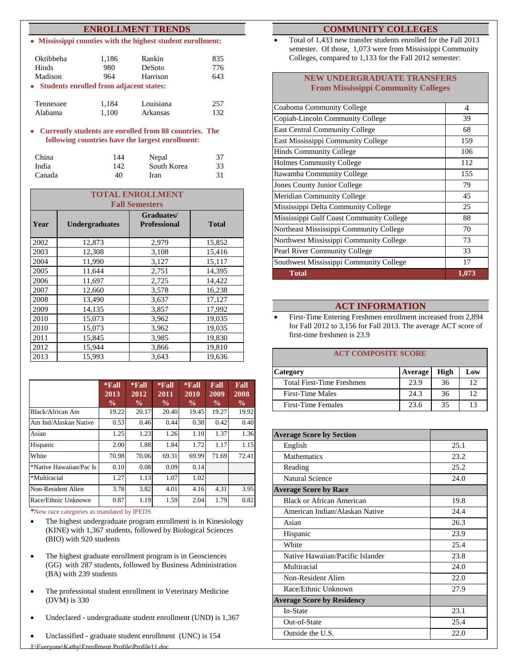#### **ENROLLMENT TRENDS**

• **Mississippi counties with the highest student enrollment:**

| Oktibbeha<br>Hinds<br>Madison             | 1,186<br>980<br>964 | Rankin<br>DeSoto<br>Harrison | 835<br>776<br>643 |  |  |  |
|-------------------------------------------|---------------------|------------------------------|-------------------|--|--|--|
| • Students enrolled from adjacent states: |                     |                              |                   |  |  |  |
| Tennessee                                 | 1,184               | Louisiana                    | 257               |  |  |  |
| Alabama                                   | 1,100               | Arkansas                     | 132               |  |  |  |

• **Currently students are enrolled from 88 countries. The following countries have the largest enrollment:**

| China  | 144 | Nepal       | 37 |
|--------|-----|-------------|----|
| India  | 142 | South Korea | 33 |
| Canada | 40  | Iran        | 31 |

|      | <b>TOTAL ENROLLMENT</b> |                                   |              |  |  |  |
|------|-------------------------|-----------------------------------|--------------|--|--|--|
|      |                         | <b>Fall Semesters</b>             |              |  |  |  |
| Year | <b>Undergraduates</b>   | Graduates/<br><b>Professional</b> | <b>Total</b> |  |  |  |
| 2002 | 12,873                  | 2,979                             | 15,852       |  |  |  |
| 2003 | 12,308                  | 3,108                             | 15,416       |  |  |  |
| 2004 | 11,990                  | 3,127                             | 15,117       |  |  |  |
| 2005 | 11,644                  | 2,751                             | 14,395       |  |  |  |
| 2006 | 11,697                  | 2,725                             | 14,422       |  |  |  |
| 2007 | 12,660                  | 3,578                             | 16,238       |  |  |  |
| 2008 | 13,490                  | 3,637                             | 17,127       |  |  |  |
| 2009 | 14,135                  | 3,857                             | 17,992       |  |  |  |
| 2010 | 15,073                  | 3,962                             | 19,035       |  |  |  |
| 2010 | 15,073                  | 3,962                             | 19,035       |  |  |  |
| 2011 | 15,845                  | 3,985                             | 19,830       |  |  |  |
| 2012 | 15,944                  | 3,866                             | 19,810       |  |  |  |
| 2013 | 15,993                  | 3,643                             | 19,636       |  |  |  |

|                         | $*$ Fall<br>2013<br>$\frac{0}{0}$ | $*$ Fall<br>$20\overline{12}$<br>$\frac{0}{0}$ | $*$ Fall<br>2011<br>$\frac{0}{0}$ | $*$ Fall<br>2010<br>$\frac{0}{0}$ | Fall<br>2009<br>$\frac{0}{0}$ | Fall<br>2008<br>$\frac{0}{0}$ |
|-------------------------|-----------------------------------|------------------------------------------------|-----------------------------------|-----------------------------------|-------------------------------|-------------------------------|
| Black/African Am        | 19.22                             | 20.17                                          | 20.40                             | 19.45                             | 19.27                         | 19.92                         |
| Am Ind/Alaskan Native   | 0.53                              | 0.46                                           | 0.44                              | 0.38                              | 0.42                          | 0.40                          |
| Asian                   | 1.25                              | 1.23                                           | 1.26                              | 1.10                              | 1.37                          | 1.36                          |
| Hispanic                | 2.00                              | 1.88                                           | 1.84                              | 1.72                              | 1.17                          | 1.15                          |
| White                   | 70.98                             | 70.06                                          | 69.31                             | 69.99                             | 71.69                         | 72.41                         |
| *Native Hawaiian/Pac Is | 0.10                              | 0.08                                           | 0.09                              | 0.14                              |                               |                               |
| *Multiracial            | 1.27                              | 1.13                                           | 1.07                              | 1.02                              |                               |                               |
| Non-Resident Alien      | 3.78                              | 3.82                                           | 4.01                              | 4.16                              | 4.31                          | 3.95                          |
| Race/Ethnic Unknown     | 0.87                              | 1.19                                           | 1.59                              | 2.04                              | 1.79                          | 0.82                          |

\*New race categories as mandated by IPEDS

- The highest undergraduate program enrollment is in Kinesiology (KINE) with 1,367 students, followed by Biological Sciences (BIO) with 920 students
- The highest graduate enrollment program is in Geosciences (GG) with 287 students, followed by Business Administration (BA) with 239 students
- The professional student enrollment in Veterinary Medicine (DVM) is 330
- Undeclared undergraduate student enrollment (UND) is 1,367
- Unclassified graduate student enrollment (UNC) is 154

#### **COMMUNITY COLLEGES**

• Total of 1,433 new transfer students enrolled for the Fall 2013 semester. Of those, 1,073 were from Mississippi Community Colleges, compared to 1,133 for the Fall 2012 semester:

#### **NEW UNDERGRADUATE TRANSFERS From Mississippi Community Colleges**

| Coahoma Community College                | 4     |
|------------------------------------------|-------|
| Copiah-Lincoln Community College         | 39    |
| <b>East Central Community College</b>    | 68    |
| East Mississippi Community College       | 159   |
| <b>Hinds Community College</b>           | 106   |
| <b>Holmes Community College</b>          | 112   |
| Itawamba Community College               | 155   |
| Jones County Junior College              | 79    |
| Meridian Community College               | 45    |
| Mississippi Delta Community College      | 25    |
| Mississippi Gulf Coast Community College | 88    |
| Northeast Mississippi Community College  | 70    |
| Northwest Mississippi Community College  | 73    |
| <b>Pearl River Community College</b>     | 33    |
| Southwest Mississippi Community College  | 17    |
| <b>Total</b>                             | 1,073 |

#### **ACT INFORMATION**

• First-Time Entering Freshmen enrollment increased from 2,894 for Fall 2012 to 3,156 for Fall 2013. The average ACT score of first-time freshmen is 23.9

#### **ACT COMPOSITE SCORE**

| <b>Category</b>           | <b>Average</b> | High | Low |
|---------------------------|----------------|------|-----|
| Total First-Time Freshmen | 23.9           | 36   | 12  |
| First-Time Males          | 24.3           | 36   | 12  |
| <b>First-Time Females</b> | 23.6           | 35   | 13  |

| <b>Average Score by Section</b>   |      |
|-----------------------------------|------|
| English                           | 25.1 |
| <b>Mathematics</b>                | 23.2 |
| Reading                           | 25.2 |
| <b>Natural Science</b>            | 24.0 |
| <b>Average Score by Race</b>      |      |
| Black or African American         | 19.8 |
| American Indian/Alaskan Native    | 24.4 |
| Asian                             | 26.3 |
| Hispanic                          | 23.9 |
| White                             | 25.4 |
| Native Hawaiian/Pacific Islander  | 23.8 |
| Multiracial                       | 24.0 |
| Non-Resident Alien                | 22.0 |
| Race/Ethnic Unknown               | 27.9 |
| <b>Average Score by Residency</b> |      |
| In-State                          | 23.1 |
| Out-of-State                      | 25.4 |
| Outside the U.S.                  | 22.0 |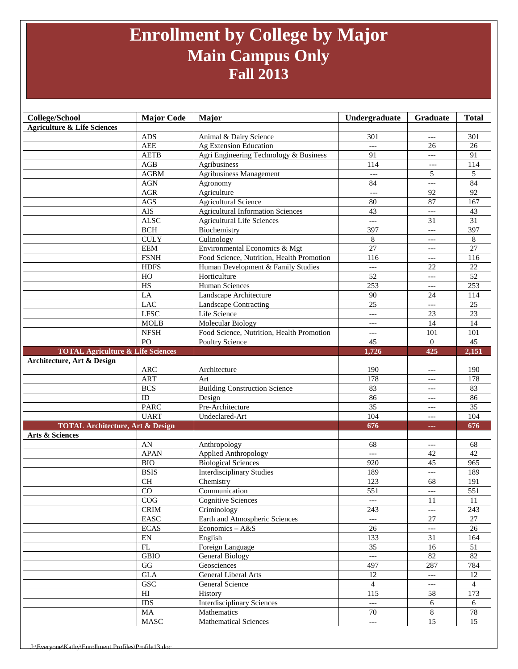## **Enrollment by College by Major Main Campus Only Fall 2013**

| College/School                                                            | <b>Major Code</b>            | Major                                     | Undergraduate         | Graduate                          | <b>Total</b>    |
|---------------------------------------------------------------------------|------------------------------|-------------------------------------------|-----------------------|-----------------------------------|-----------------|
| <b>Agriculture &amp; Life Sciences</b>                                    |                              |                                           |                       |                                   |                 |
|                                                                           | <b>ADS</b>                   | Animal & Dairy Science                    | 301                   | $---$                             | 301             |
|                                                                           | <b>AEE</b>                   | Ag Extension Education                    | $---$                 | 26                                | 26              |
|                                                                           | <b>AETB</b>                  | Agri Engineering Technology & Business    | 91                    | $---$                             | 91              |
|                                                                           | ${\bf AGB}$                  | Agribusiness                              | 114                   | ---                               | 114             |
|                                                                           | <b>AGBM</b>                  | <b>Agribusiness Management</b>            | $---$                 | 5                                 | 5               |
|                                                                           | <b>AGN</b>                   | Agronomy                                  | 84                    | $\overline{a}$                    | 84              |
|                                                                           | <b>AGR</b>                   | Agriculture                               | $\overline{a}$        | 92                                | 92              |
|                                                                           | $\rm{AGS}$                   | <b>Agricultural Science</b>               | 80                    | 87                                | 167             |
|                                                                           | <b>AIS</b>                   | <b>Agricultural Information Sciences</b>  | 43                    | $---$                             | 43              |
|                                                                           | <b>ALSC</b>                  | <b>Agricultural Life Sciences</b>         | $---$                 | 31                                | $\overline{31}$ |
|                                                                           | $\operatorname{BCH}$         | Biochemistry                              | 397                   | $---$                             | 397             |
|                                                                           | <b>CULY</b>                  | Culinology                                | 8                     | $---$                             | 8               |
|                                                                           | <b>EEM</b>                   | Environmental Economics & Mgt             | $\overline{27}$       | $---$                             | 27              |
|                                                                           | <b>FSNH</b>                  | Food Science, Nutrition, Health Promotion | 116                   | $---$                             | 116             |
|                                                                           | <b>HDFS</b>                  | Human Development & Family Studies        | $\qquad \qquad - -$   | 22                                | 22              |
|                                                                           | $_{\rm HO}$                  | Horticulture                              | $\overline{52}$       | $---$                             | $\overline{52}$ |
|                                                                           | $\overline{HS}$              | Human Sciences                            | 253                   | $---$                             | 253             |
|                                                                           | LA                           | Landscape Architecture                    | 90                    | 24                                | 114             |
|                                                                           | <b>LAC</b>                   | Landscape Contracting                     | $\overline{25}$       | $\overline{a}$                    | 25              |
|                                                                           | <b>LFSC</b>                  | Life Science                              | $---$                 | 23                                | 23              |
|                                                                           | <b>MOLB</b>                  | Molecular Biology                         | $---$                 | 14                                | 14              |
|                                                                           | <b>NFSH</b>                  | Food Science, Nutrition, Health Promotion | $---$                 | 101                               | 101             |
|                                                                           | PO                           | <b>Poultry Science</b>                    | 45                    | $\overline{0}$                    | 45              |
| <b>TOTAL Agriculture &amp; Life Sciences</b>                              |                              |                                           | 1,726                 | 425                               | 2,151           |
| Architecture, Art & Design                                                |                              |                                           |                       |                                   |                 |
|                                                                           | <b>ARC</b>                   | Architecture                              | 190                   | $---$                             | 190             |
|                                                                           | <b>ART</b>                   | Art                                       | 178                   | $---$                             | 178             |
|                                                                           | <b>BCS</b>                   | <b>Building Construction Science</b>      | 83                    | $---$                             | 83              |
|                                                                           | $\rm ID$                     | Design                                    | 86<br>35              | $---$                             | 86              |
|                                                                           | <b>PARC</b>                  | Pre-Architecture                          |                       | $---$                             | $\overline{35}$ |
|                                                                           | <b>UART</b>                  | Undeclared-Art                            | 104                   | $---$                             | 104             |
| <b>TOTAL Architecture, Art &amp; Design</b><br><b>Arts &amp; Sciences</b> |                              |                                           | 676                   | and in                            | 676             |
|                                                                           | AN                           | Anthropology                              | 68                    |                                   | 68              |
|                                                                           | <b>APAN</b>                  | <b>Applied Anthropology</b>               | $---$                 | $---$<br>42                       | 42              |
|                                                                           | <b>BIO</b>                   | <b>Biological Sciences</b>                | 920                   | 45                                | 965             |
|                                                                           | <b>BSIS</b>                  | <b>Interdisciplinary Studies</b>          | 189                   | $---$                             | 189             |
|                                                                           | CH                           | Chemistry                                 | 123                   | 68                                | 191             |
|                                                                           | $\rm CO$                     | Communication                             | 551                   | $\hspace{0.05cm} \dashrightarrow$ | 551             |
|                                                                           | COG                          | <b>Cognitive Sciences</b>                 | $---$                 | 11                                | 11              |
|                                                                           | $\mathop{\rm CRIM}\nolimits$ | Criminology                               | 243                   | $---$                             | 243             |
|                                                                           | $\operatorname{EASC}$        | Earth and Atmospheric Sciences            | $---$                 | 27                                | 27              |
|                                                                           | <b>ECAS</b>                  | Economics - A&S                           | 26                    | $---$                             | 26              |
|                                                                           | $\mathop{\rm EN}\nolimits$   | English                                   | 133                   | 31                                | 164             |
|                                                                           | FL                           | Foreign Language                          | 35                    | 16                                | 51              |
|                                                                           | GBIO                         | General Biology                           | $\scriptstyle \cdots$ | 82                                | 82              |
|                                                                           | GG                           | Geosciences                               | 497                   | 287                               | 784             |
|                                                                           | $\operatorname{GLA}$         | General Liberal Arts                      | 12                    | $---$                             | 12              |
|                                                                           | GSC                          | General Science                           | $\overline{4}$        | ---                               | $\overline{4}$  |
|                                                                           | $\mathop{\rm HI}\nolimits$   | History                                   | 115                   | 58                                | 173             |
|                                                                           | <b>IDS</b>                   | <b>Interdisciplinary Sciences</b>         | $\overline{a}$        | 6                                 | 6               |
|                                                                           |                              |                                           |                       |                                   |                 |
|                                                                           | MA                           | Mathematics                               | 70                    | 8                                 | $78\,$          |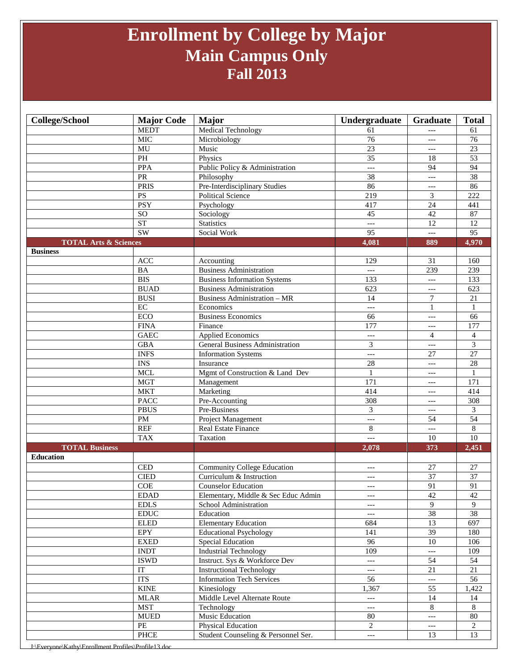## **Enrollment by College by Major Main Campus Only Fall 2013**

| <b>College/School</b>            | <b>Major Code</b>            | <b>Major</b>                           | Undergraduate            | Graduate        | <b>Total</b>            |
|----------------------------------|------------------------------|----------------------------------------|--------------------------|-----------------|-------------------------|
|                                  | <b>MEDT</b>                  | Medical Technology                     | 61                       | $---$           | 61                      |
|                                  | <b>MIC</b>                   | Microbiology                           | 76                       | ---             | 76                      |
|                                  | MU                           | Music                                  | 23                       | $---$           | 23                      |
|                                  | PH                           | Physics                                | 35                       | 18              | 53                      |
|                                  | <b>PPA</b>                   | Public Policy & Administration         | $\overline{a}$           | 94              | $\overline{94}$         |
|                                  | PR                           | Philosophy                             | 38                       | $---$           | $\overline{38}$         |
|                                  | <b>PRIS</b>                  | Pre-Interdisciplinary Studies          | 86                       | $---$           | 86                      |
|                                  | $\overline{PS}$              | <b>Political Science</b>               | 219                      | 3               | 222                     |
|                                  | <b>PSY</b>                   | Psychology                             | 417                      | 24              | 441                     |
|                                  | SO                           | Sociology                              | 45                       | $\overline{42}$ | 87                      |
|                                  | ST                           | <b>Statistics</b>                      | $---$                    | 12              | 12                      |
|                                  | SW                           | Social Work                            | $\overline{95}$          | $---$           | $\overline{95}$         |
| <b>TOTAL Arts &amp; Sciences</b> |                              |                                        | 4,081                    | 889             | 4,970                   |
| <b>Business</b>                  |                              |                                        |                          |                 |                         |
|                                  | ACC                          | Accounting                             | 129                      | 31              | 160                     |
|                                  | <b>BA</b>                    | <b>Business Administration</b>         | $---$                    | 239             | 239                     |
|                                  | <b>BIS</b>                   | <b>Business Information Systems</b>    | 133                      | $---$           | 133                     |
|                                  | <b>BUAD</b>                  | <b>Business Administration</b>         | 623                      | $---$           | 623                     |
|                                  | <b>BUSI</b>                  | <b>Business Administration - MR</b>    | 14                       | $\overline{7}$  | 21                      |
|                                  | EC                           | Economics                              | $\overline{a}$           | 1               |                         |
|                                  | <b>ECO</b>                   | <b>Business Economics</b>              | 66                       | $---$           | 66                      |
|                                  | <b>FINA</b>                  | Finance                                | 177                      | $---$           | 177                     |
|                                  | <b>GAEC</b>                  | <b>Applied Economics</b>               | $---$                    | $\overline{4}$  | 4                       |
|                                  | <b>GBA</b>                   | <b>General Business Administration</b> | $\overline{3}$           | $---$           | $\overline{\mathbf{3}}$ |
|                                  | <b>INFS</b>                  | <b>Information Systems</b>             | $---$                    | 27              | $\overline{27}$         |
|                                  | <b>INS</b>                   | Insurance                              | 28                       | $---$           | 28                      |
|                                  | <b>MCL</b>                   | Mgmt of Construction & Land Dev        | 1                        | ---             | $\mathbf{1}$            |
|                                  | <b>MGT</b>                   | Management                             | 171                      | ---             | 171                     |
|                                  | <b>MKT</b>                   | Marketing                              | 414                      | $---$           | 414                     |
|                                  | <b>PACC</b>                  | Pre-Accounting                         | 308                      | ---             | 308                     |
|                                  | <b>PBUS</b>                  | Pre-Business                           | 3                        | $---$           | 3                       |
|                                  | PM                           | <b>Project Management</b>              | $---$                    | 54              | 54                      |
|                                  | <b>REF</b>                   | Real Estate Finance                    | 8                        | $---$           | 8                       |
|                                  | <b>TAX</b>                   | Taxation                               | $---$                    | 10              | 10                      |
| <b>TOTAL Business</b>            |                              |                                        | 2,078                    | 373             | 2,451                   |
| <b>Education</b>                 |                              |                                        |                          |                 |                         |
|                                  | $\mathop{\mathrm{CED}}$      | <b>Community College Education</b>     | ---                      | 27              | 27                      |
|                                  | <b>CIED</b>                  | Curriculum & Instruction               | $---$                    | 37              | 37                      |
|                                  | <b>COE</b>                   | <b>Counselor Education</b>             | ---                      | $\overline{91}$ | 91                      |
|                                  | <b>EDAD</b>                  | Elementary, Middle & Sec Educ Admin    | $---$                    | $42\,$          | 42                      |
|                                  | <b>EDLS</b>                  | School Administration                  | $---$                    | 9               | 9                       |
|                                  | $\mathop{\rm EDUC}\nolimits$ | Education                              | $---$                    | 38              | 38                      |
|                                  | <b>ELED</b>                  | <b>Elementary Education</b>            | 684                      | 13              | 697                     |
|                                  | <b>EPY</b>                   | <b>Educational Psychology</b>          | 141                      | $\overline{39}$ | 180                     |
|                                  | <b>EXED</b>                  | <b>Special Education</b>               | 96                       | 10              | 106                     |
|                                  | <b>INDT</b>                  | <b>Industrial Technology</b>           | 109                      | $\overline{a}$  | 109                     |
|                                  | <b>ISWD</b>                  | Instruct. Sys & Workforce Dev          | $---$                    | 54              | 54                      |
|                                  | IT                           | <b>Instructional Technology</b>        | $\qquad \qquad - -$      | 21              | 21                      |
|                                  | <b>ITS</b>                   | <b>Information Tech Services</b>       | 56                       | ---             | 56                      |
|                                  | <b>KINE</b>                  | Kinesiology                            | 1,367                    | 55              | 1,422                   |
|                                  |                              | Middle Level Alternate Route           |                          | 14              |                         |
|                                  | <b>MLAR</b>                  |                                        | ---                      |                 | 14                      |
|                                  | <b>MST</b>                   | Technology                             | $\overline{a}$           | $8\,$           | 8                       |
|                                  | <b>MUED</b>                  | Music Education                        | 80                       | $---$           | 80                      |
|                                  | $\ensuremath{\mathsf{PE}}$   | Physical Education                     | $\overline{2}$           | $---$           | 2                       |
|                                  | PHCE                         | Student Counseling & Personnel Ser.    | $\overline{\phantom{a}}$ | 13              | 13                      |

J:\Everyone\Kathy\Enrollment Profiles\Profile13.do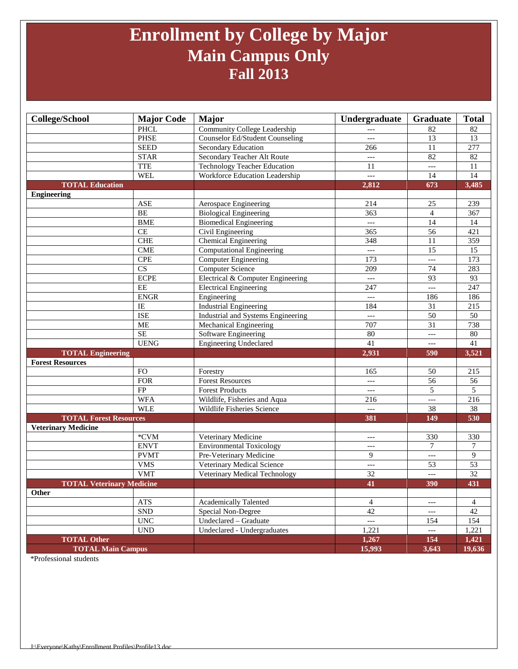## **Enrollment by College by Major Main Campus Only Fall 2013**

| <b>College/School</b>            | <b>Major Code</b>           | <b>Major</b>                           | Undergraduate                          | Graduate                 | <b>Total</b>    |
|----------------------------------|-----------------------------|----------------------------------------|----------------------------------------|--------------------------|-----------------|
|                                  | <b>PHCL</b>                 | Community College Leadership           | ---                                    | 82                       | 82              |
|                                  | <b>PHSE</b>                 | <b>Counselor Ed/Student Counseling</b> | $---$                                  | $\overline{13}$          | 13              |
|                                  | <b>SEED</b>                 | Secondary Education                    | 266                                    | 11                       | 277             |
|                                  | <b>STAR</b>                 | Secondary Teacher Alt Route            | $---$                                  | 82                       | 82              |
|                                  | <b>TTE</b>                  | Technology Teacher Education           | 11                                     | $---$                    | 11              |
|                                  | <b>WEL</b>                  | Workforce Education Leadership         | $\qquad \qquad - -$                    | 14                       | 14              |
| <b>TOTAL Education</b>           |                             |                                        | 2,812                                  | 673                      | 3,485           |
| <b>Engineering</b>               |                             |                                        |                                        |                          |                 |
|                                  | <b>ASE</b>                  | Aerospace Engineering                  | 214                                    | 25                       | 239             |
|                                  | BE                          | <b>Biological Engineering</b>          | 363                                    | $\overline{4}$           | 367             |
|                                  | <b>BME</b>                  | <b>Biomedical Engineering</b>          | $---$                                  | 14                       | 14              |
|                                  | CE                          | Civil Engineering                      | 365                                    | 56                       | 421             |
|                                  | CHE                         | <b>Chemical Engineering</b>            | 348                                    | 11                       | 359             |
|                                  | <b>CME</b>                  | <b>Computational Engineering</b>       | $\overline{a}$                         | $\overline{15}$          | $\overline{15}$ |
|                                  | <b>CPE</b>                  | <b>Computer Engineering</b>            | 173                                    | $\overline{a}$           | 173             |
|                                  | $\overline{\text{CS}}$      | Computer Science                       | 209                                    | $\overline{74}$          | 283             |
|                                  | <b>ECPE</b>                 | Electrical & Computer Engineering      | $---$                                  | 93                       | 93              |
|                                  | EE                          | <b>Electrical Engineering</b>          | 247                                    | $---$                    | 247             |
|                                  | <b>ENGR</b>                 | Engineering                            | $---$                                  | 186                      | 186             |
|                                  | IE                          | <b>Industrial Engineering</b>          | 184                                    | 31                       | 215             |
|                                  | <b>ISE</b>                  | Industrial and Systems Engineering     | $---$                                  | 50                       | 50              |
|                                  | <b>ME</b>                   | Mechanical Engineering                 | 707                                    | $\overline{31}$          | 738             |
|                                  | <b>SE</b>                   | Software Engineering                   | 80                                     | $\overline{a}$           | 80              |
|                                  | <b>UENG</b>                 | <b>Engineering Undeclared</b>          | 41                                     | $---$                    | 41              |
| <b>TOTAL Engineering</b>         |                             |                                        | 2,931                                  | 590                      | 3,521           |
| <b>Forest Resources</b>          |                             |                                        |                                        |                          |                 |
|                                  | <b>FO</b>                   | Forestry                               | 165                                    | 50                       | 215             |
|                                  | <b>FOR</b>                  | <b>Forest Resources</b>                | $\overline{a}$                         | 56                       | 56              |
|                                  | FP                          | <b>Forest Products</b>                 | $\hspace{0.05cm} \ldots$               | 5                        | 5               |
|                                  | <b>WFA</b>                  | Wildlife, Fisheries and Aqua           | 216                                    | $\overline{a}$           | 216             |
|                                  | <b>WLE</b>                  | Wildlife Fisheries Science             | $---$                                  | 38                       | 38              |
| <b>TOTAL Forest Resources</b>    |                             |                                        | 381                                    | 149                      | 530             |
| <b>Veterinary Medicine</b>       |                             |                                        |                                        |                          |                 |
|                                  | *CVM                        | Veterinary Medicine                    | ---                                    | 330                      | 330             |
|                                  | <b>ENVT</b>                 | <b>Environmental Toxicology</b>        | ---                                    | 7                        | 7               |
|                                  | <b>PVMT</b>                 | Pre-Veterinary Medicine                | 9                                      | $\overline{\phantom{a}}$ | 9               |
|                                  | <b>VMS</b>                  | Veterinary Medical Science             | $\qquad \qquad - -$                    | 53                       | 53              |
|                                  | <b>VMT</b>                  | Veterinary Medical Technology          | 32                                     | $---$                    | $\overline{32}$ |
| <b>TOTAL Veterinary Medicine</b> |                             |                                        | 41                                     | 390                      | 431             |
| Other                            |                             |                                        |                                        |                          |                 |
|                                  | <b>ATS</b>                  | <b>Academically Talented</b>           | $\overline{4}$                         | $---$                    | $\overline{4}$  |
|                                  | ${\rm SND}$                 | Special Non-Degree                     | 42                                     | $---$                    | 42              |
|                                  | $\ensuremath{\text{UNC}}$   | Undeclared - Graduate                  | $\scriptstyle\cdots\scriptstyle\cdots$ | 154                      | 154             |
|                                  | $\ensuremath{\mathrm{UND}}$ | Undeclared - Undergraduates            | 1,221                                  | $---$                    | 1,221           |
| <b>TOTAL Other</b>               |                             |                                        | 1,267                                  | 154                      | 1,421           |
| <b>TOTAL Main Campus</b>         |                             |                                        | 15,993                                 | 3,643                    | 19,636          |

\*Professional students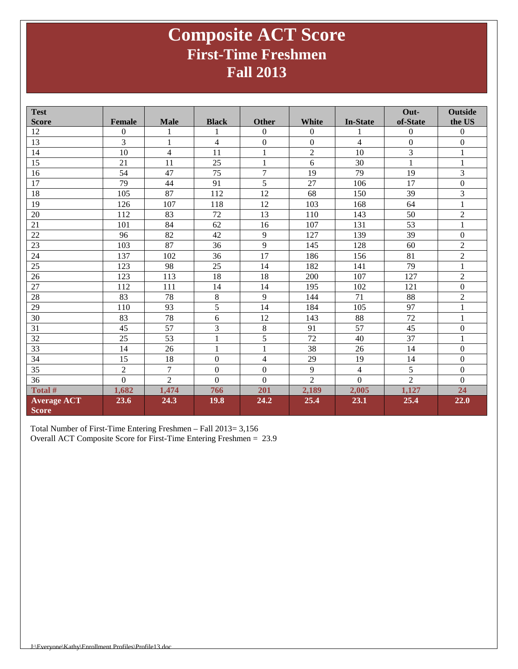### **Composite ACT Score First-Time Freshmen Fall 2013**

| <b>Test</b>                        |                |                          |                |                  |                |                 | Out-             | <b>Outside</b>   |
|------------------------------------|----------------|--------------------------|----------------|------------------|----------------|-----------------|------------------|------------------|
| <b>Score</b>                       | <b>Female</b>  | <b>Male</b>              | <b>Black</b>   | <b>Other</b>     | White          | <b>In-State</b> | of-State         | the US           |
| 12                                 | $\Omega$       | 1                        | 1              | $\mathbf{0}$     | $\Omega$       | 1               | $\boldsymbol{0}$ | $\boldsymbol{0}$ |
| 13                                 | 3              | $\mathbf{1}$             | $\overline{4}$ | $\boldsymbol{0}$ | $\overline{0}$ | $\overline{4}$  | $\boldsymbol{0}$ | $\boldsymbol{0}$ |
| 14                                 | 10             | $\overline{\mathcal{L}}$ | 11             | $\mathbf{1}$     | $\overline{2}$ | 10              | 3                | $\mathbf{1}$     |
| 15                                 | 21             | 11                       | 25             | $\mathbf{1}$     | 6              | 30              | $\mathbf{1}$     | $\mathbf{1}$     |
| 16                                 | 54             | 47                       | 75             | $\overline{7}$   | 19             | 79              | 19               | 3                |
| 17                                 | 79             | 44                       | 91             | 5                | 27             | 106             | 17               | $\mathbf{0}$     |
| 18                                 | 105            | 87                       | 112            | 12               | 68             | 150             | 39               | 3                |
| 19                                 | 126            | 107                      | 118            | 12               | 103            | 168             | 64               | $\mathbf{1}$     |
| 20                                 | 112            | 83                       | 72             | 13               | 110            | 143             | 50               | $\overline{2}$   |
| 21                                 | 101            | 84                       | 62             | 16               | 107            | 131             | 53               | $\mathbf{1}$     |
| $\overline{22}$                    | 96             | 82                       | 42             | 9                | 127            | 139             | 39               | $\Omega$         |
| $23\,$                             | 103            | 87                       | 36             | 9                | 145            | 128             | 60               | $\overline{c}$   |
| 24                                 | 137            | 102                      | 36             | 17               | 186            | 156             | 81               | $\sqrt{2}$       |
| 25                                 | 123            | 98                       | 25             | 14               | 182            | 141             | 79               | $\mathbf{1}$     |
| 26                                 | 123            | 113                      | 18             | 18               | 200            | 107             | 127              | $\overline{2}$   |
| 27                                 | 112            | 111                      | 14             | 14               | 195            | 102             | 121              | $\boldsymbol{0}$ |
| 28                                 | 83             | 78                       | $\,8\,$        | 9                | 144            | 71              | 88               | $\overline{2}$   |
| 29                                 | 110            | 93                       | 5              | 14               | 184            | 105             | 97               | $\mathbf{1}$     |
| 30                                 | 83             | 78                       | 6              | 12               | 143            | 88              | 72               | $\mathbf{1}$     |
| 31                                 | 45             | 57                       | 3              | $\,8\,$          | 91             | 57              | 45               | $\boldsymbol{0}$ |
| 32                                 | 25             | 53                       | 1              | 5                | 72             | 40              | 37               | $\mathbf{1}$     |
| 33                                 | 14             | 26                       | 1              | $\mathbf{1}$     | 38             | 26              | 14               | $\mathbf{0}$     |
| 34                                 | 15             | 18                       | $\mathbf{0}$   | $\overline{4}$   | 29             | 19              | 14               | $\boldsymbol{0}$ |
| 35                                 | $\overline{2}$ | 7                        | $\mathbf{0}$   | $\mathbf{0}$     | 9              | 4               | 5                | $\boldsymbol{0}$ |
| 36                                 | $\overline{0}$ | $\overline{2}$           | $\mathbf{0}$   | $\overline{0}$   | $\overline{2}$ | $\overline{0}$  | $\overline{2}$   | $\boldsymbol{0}$ |
| Total #                            | 1,682          | 1,474                    | 766            | 201              | 2,189          | 2,005           | 1,127            | 24               |
| <b>Average ACT</b><br><b>Score</b> | 23.6           | 24.3                     | 19.8           | 24.2             | 25.4           | 23.1            | 25.4             | 22.0             |

Total Number of First-Time Entering Freshmen – Fall 2013= 3,156 Overall ACT Composite Score for First-Time Entering Freshmen = 23.9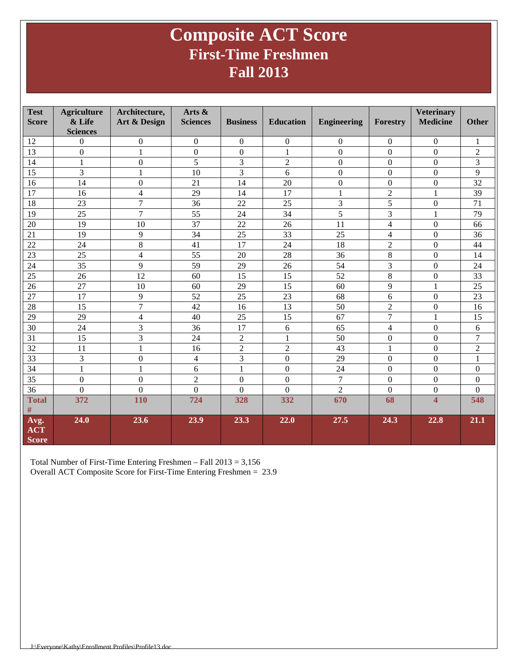### **Composite ACT Score First-Time Freshmen Fall 2013**

| <b>Test</b><br><b>Score</b>        | <b>Agriculture</b><br>& Life<br><b>Sciences</b> | Architecture,<br>Art & Design | Arts &<br><b>Sciences</b> | <b>Business</b>  | <b>Education</b> | <b>Engineering</b> | Forestry                 | <b>Veterinary</b><br><b>Medicine</b> | <b>Other</b>     |
|------------------------------------|-------------------------------------------------|-------------------------------|---------------------------|------------------|------------------|--------------------|--------------------------|--------------------------------------|------------------|
| 12                                 | $\mathbf{0}$                                    | $\boldsymbol{0}$              | $\mathbf{0}$              | $\boldsymbol{0}$ | $\mathbf{0}$     | $\boldsymbol{0}$   | 0                        | $\mathbf{0}$                         | 1                |
| 13                                 | $\boldsymbol{0}$                                | $\mathbf{1}$                  | $\mathbf{0}$              | $\boldsymbol{0}$ | $\mathbf{1}$     | $\boldsymbol{0}$   | $\overline{0}$           | $\boldsymbol{0}$                     | $\overline{c}$   |
| 14                                 | $\mathbf{1}$                                    | $\boldsymbol{0}$              | 5                         | 3                | $\overline{2}$   | $\mathbf{0}$       | $\boldsymbol{0}$         | $\boldsymbol{0}$                     | 3                |
| 15                                 | 3                                               | $\mathbf{1}$                  | 10                        | 3                | 6                | $\boldsymbol{0}$   | $\overline{0}$           | $\Omega$                             | 9                |
| 16                                 | 14                                              | $\boldsymbol{0}$              | 21                        | 14               | 20               | $\boldsymbol{0}$   | $\boldsymbol{0}$         | $\Omega$                             | 32               |
| 17                                 | 16                                              | $\overline{4}$                | 29                        | 14               | 17               | $\mathbf{1}$       | $\overline{c}$           | 1                                    | 39               |
| 18                                 | 23                                              | $\overline{7}$                | 36                        | 22               | 25               | 3                  | 5                        | $\boldsymbol{0}$                     | 71               |
| 19                                 | 25                                              | $\overline{7}$                | 55                        | 24               | 34               | $\overline{5}$     | 3                        | 1                                    | 79               |
| 20                                 | 19                                              | 10                            | 37                        | 22               | 26               | 11                 | $\overline{\mathbf{4}}$  | $\overline{0}$                       | 66               |
| 21                                 | 19                                              | 9                             | 34                        | 25               | 33               | 25                 | $\overline{\mathcal{L}}$ | $\boldsymbol{0}$                     | 36               |
| 22                                 | 24                                              | 8                             | 41                        | 17               | 24               | 18                 | $\overline{c}$           | $\boldsymbol{0}$                     | 44               |
| 23                                 | 25                                              | $\overline{4}$                | 55                        | 20               | 28               | 36                 | 8                        | $\mathbf{0}$                         | 14               |
| 24                                 | 35                                              | 9                             | 59                        | 29               | 26               | 54                 | $\overline{\mathbf{3}}$  | $\boldsymbol{0}$                     | 24               |
| 25                                 | 26                                              | 12                            | 60                        | 15               | 15               | 52                 | 8                        | $\overline{0}$                       | $\overline{33}$  |
| 26                                 | 27                                              | 10                            | 60                        | 29               | 15               | 60                 | 9                        | 1                                    | 25               |
| 27                                 | 17                                              | 9                             | 52                        | 25               | 23               | 68                 | 6                        | $\boldsymbol{0}$                     | 23               |
| 28                                 | 15                                              | $\overline{7}$                | 42                        | 16               | $\overline{13}$  | 50                 | $\overline{c}$           | $\Omega$                             | 16               |
| 29                                 | 29                                              | 4                             | 40                        | 25               | 15               | 67                 | $\overline{7}$           | 1                                    | 15               |
| 30                                 | 24                                              | 3                             | 36                        | 17               | 6                | 65                 | $\overline{4}$           | $\mathbf{0}$                         | 6                |
| $\overline{31}$                    | 15                                              | $\overline{3}$                | 24                        | $\overline{2}$   | 1                | $\overline{50}$    | $\overline{0}$           | $\Omega$                             | $\overline{7}$   |
| 32                                 | 11                                              | $\mathbf{1}$                  | 16                        | $\overline{c}$   | $\overline{2}$   | 43                 | $\mathbf{1}$             | $\Omega$                             | $\mathfrak{2}$   |
| 33                                 | 3                                               | $\boldsymbol{0}$              | $\overline{\mathcal{L}}$  | 3                | $\boldsymbol{0}$ | 29                 | $\boldsymbol{0}$         | $\boldsymbol{0}$                     | $\mathbf{1}$     |
| 34                                 | $\mathbf{1}$                                    | $\mathbf{1}$                  | 6                         | $\mathbf{1}$     | $\boldsymbol{0}$ | 24                 | $\boldsymbol{0}$         | $\boldsymbol{0}$                     | $\boldsymbol{0}$ |
| 35                                 | $\boldsymbol{0}$                                | $\boldsymbol{0}$              | $\overline{c}$            | $\boldsymbol{0}$ | $\boldsymbol{0}$ | $\boldsymbol{7}$   | $\boldsymbol{0}$         | $\Omega$                             | $\mathbf{0}$     |
| $\overline{36}$                    | $\mathbf{0}$                                    | $\boldsymbol{0}$              | $\Omega$                  | $\Omega$         | $\Omega$         | $\overline{2}$     | $\overline{0}$           | $\boldsymbol{0}$                     | $\overline{0}$   |
| <b>Total</b>                       | 372                                             | 110                           | 724                       | 328              | 332              | 670                | 68                       | $\overline{\mathbf{4}}$              | 548              |
| $\#$                               |                                                 |                               |                           |                  |                  |                    |                          |                                      |                  |
| Avg.<br><b>ACT</b><br><b>Score</b> | 24.0                                            | 23.6                          | 23.9                      | 23.3             | 22.0             | 27.5               | 24.3                     | 22.8                                 | 21.1             |

Total Number of First-Time Entering Freshmen – Fall 2013 = 3,156 Overall ACT Composite Score for First-Time Entering Freshmen = 23.9